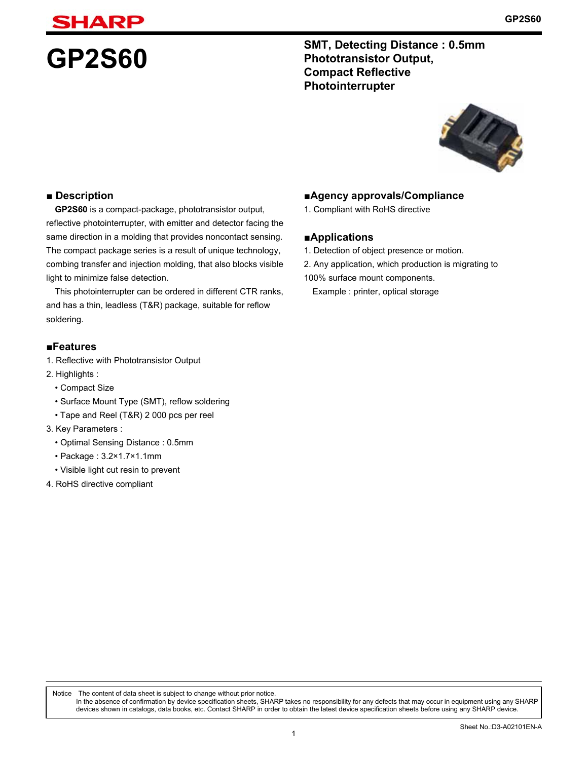# **GP2S60** SMT, Detecting Distance : 0.5mm<br>
Phototransistor Output, **Phototransistor Output, Compact Reflective Photointerrupter**



#### **■ Description**

**GP2S60** is a compact-package, phototransistor output, reflective photointerrupter, with emitter and detector facing the same direction in a molding that provides noncontact sensing. The compact package series is a result of unique technology, combing transfer and injection molding, that also blocks visible light to minimize false detection.

This photointerrupter can be ordered in different CTR ranks, and has a thin, leadless (T&R) package, suitable for reflow soldering.

#### **■Features**

- 1. Reflective with Phototransistor Output
- 2. Highlights :
	- Compact Size
	- Surface Mount Type (SMT), reflow soldering
	- Tape and Reel (T&R) 2 000 pcs per reel
- 3. Key Parameters :
	- Optimal Sensing Distance : 0.5mm
	- Package : 3.2×1.7×1.1mm
	- Visible light cut resin to prevent
- 4. RoHS directive compliant

#### **■Agency approvals/Compliance**

1. Compliant with RoHS directive

#### **■Applications**

- 1. Detection of object presence or motion.
- 2. Any application, which production is migrating to
- 100% surface mount components.

Example : printer, optical storage

Notice The content of data sheet is subject to change without prior notice.

In the absence of confirmation by device specification sheets, SHARP takes no responsibility for any defects that may occur in equipment using any SHARP devices shown in catalogs, data books, etc. Contact SHARP in order to obtain the latest device specification sheets before using any SHARP device.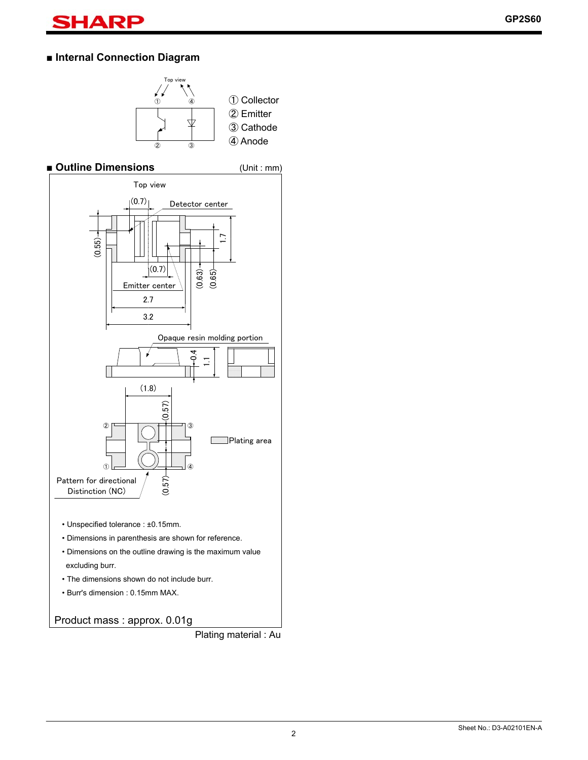# **■ Internal Connection Diagram**



### **■ Outline Dimensions** (Unit : mm)



Product mass : approx. 0.01g

Plating material : Au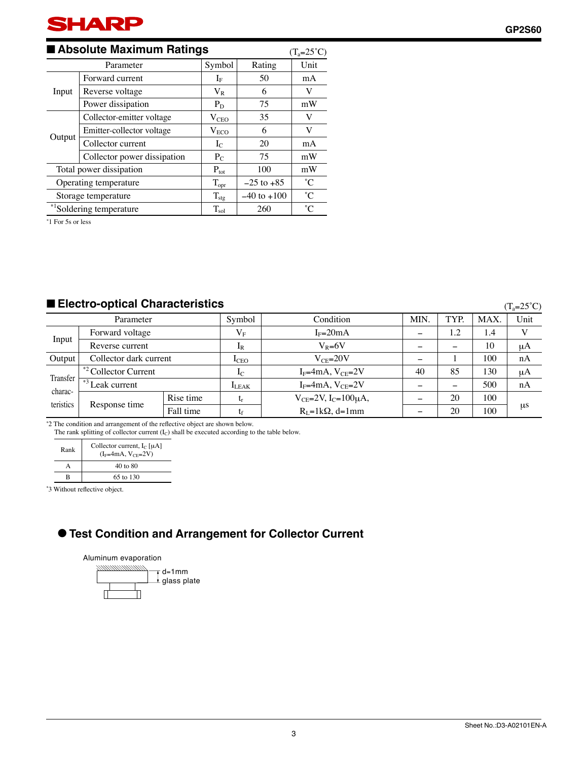#### ■ **Absolute Maximum Ratings**  $(T_a=25^\circ\text{C})$ Parameter Symbol Rating Unit Input Forward current IF 1 50 mA Reverse voltage  $V_R$  6 V Power dissipation P<sub>D</sub>  $P_0$  75 mW Output Collector-emitter voltage  $V_{\text{CEO}}$  35 V Emitter-collector voltage  $V_{ECO}$  6 V Collector current  $I_{C}$   $1$  20 mA Collector power dissipation  $P_{C}$  75 mW Total power dissipation  $P_{\text{tot}}$  100 mW Operating temperature  $T_{\text{opt}}$   $-25$  to +85 °C Storage temperature  $T_{\text{stg}}$   $-40$  to +100  $^{\circ}$ C  $*$ <sup>1</sup>Soldering temperature  $T_{sol}$  260  $\degree$

∗ 1 For 5s or less

### ■ **Electro-optical Characteristics**

 $(T<sub>-</sub>25°C)$ 

|                                  |                                  |           |                |                                     |            |      |      | $(1a - 2c)$ |
|----------------------------------|----------------------------------|-----------|----------------|-------------------------------------|------------|------|------|-------------|
| Parameter                        |                                  |           | Symbol         | Condition                           | <b>MIN</b> | TYP. | MAX. | Unit        |
|                                  | Forward voltage                  |           | $\rm V_F$      | $I_F = 20mA$                        |            | 1.2  | 1.4  |             |
| Input                            | Reverse current                  |           | 1 <sub>R</sub> | $V_R = 6V$                          |            |      | 10   | μA          |
| Output                           | Collector dark current           |           | $_{\rm LEO}$   | $V_{CF} = 20V$                      |            |      | 100  | nA          |
| Transfer<br>charac-<br>teristics | * <sup>2</sup> Collector Current |           | $I_{\rm C}$    | $I_F=4mA, V_{CE}=2V$                | 40         | 85   | 130  | μA          |
|                                  | $+$ <sup>*3</sup> Leak current   |           | $I_{LEAK}$     | $I_F=4mA, V_{CE}=2V$                |            | -    | 500  | nA          |
|                                  | Response time                    | Rise time | ւթ             | $V_{CE} = 2V$ , $I_C = 100 \mu A$ , |            | 20   | 100  |             |
|                                  |                                  | Fall time |                | $R_I = 1kQ$ , d=1mm                 |            | 20   | 100  | $\mu$ s     |

\*2 The condition and arrangement of the reflective object are shown below.

The rank splitting of collector current (I<sub>C</sub>) shall be executed according to the table below.

| Rank | Collector current, $I_C$ [ $\mu$ A]<br>$(IF=4mA, VCF=2V)$ |  |  |  |
|------|-----------------------------------------------------------|--|--|--|
|      | $40 \text{ to } 80$                                       |  |  |  |
|      | 65 to 130                                                 |  |  |  |

\*3 Without reflective object.

#### ● **Test Condition and Arrangement for Collector Current**

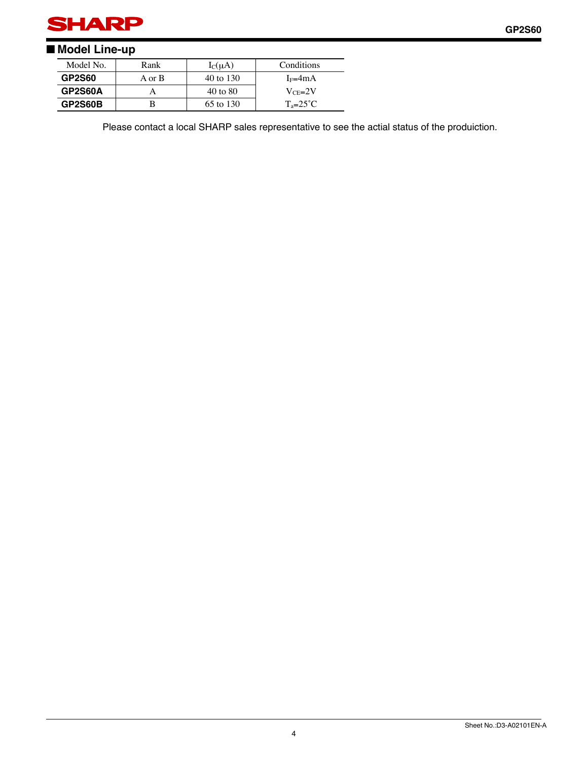

# ■ **Model Line-up**

| Model No.<br>Rank |        | $I_C(uA)$           | Conditions          |  |
|-------------------|--------|---------------------|---------------------|--|
| <b>GP2S60</b>     | A or B | 40 to 130           | $I_F=4mA$           |  |
| GP2S60A           |        | $40 \text{ to } 80$ | $V_{CF} = 2V$       |  |
| GP2S60B           |        | 65 to 130           | $T_a = 25^{\circ}C$ |  |

Please contact a local SHARP sales representative to see the actial status of the produiction.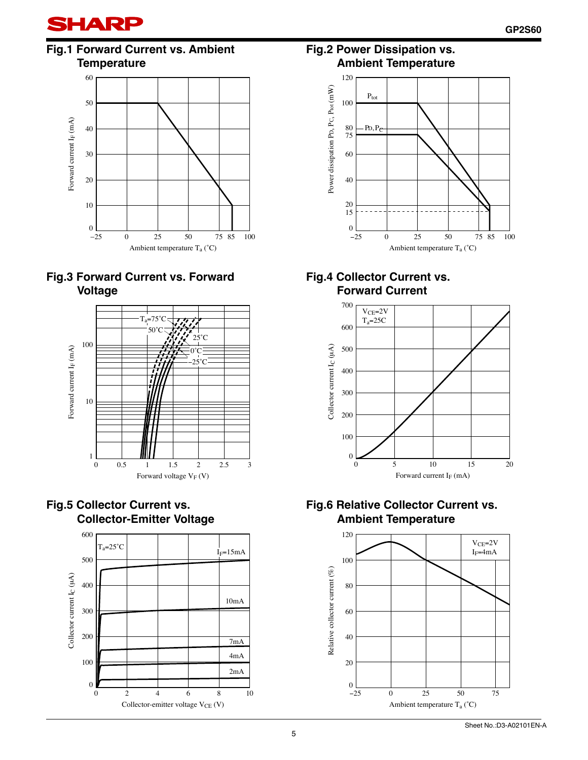

# **Fig.1 Forward Current vs. Ambient Temperature**











### **Fig.2 Power Dissipation vs. Ambient Temperature**



### **Fig.4 Collector Current vs. Forward Current**



# **Fig.6 Relative Collector Current vs. Ambient Temperature**

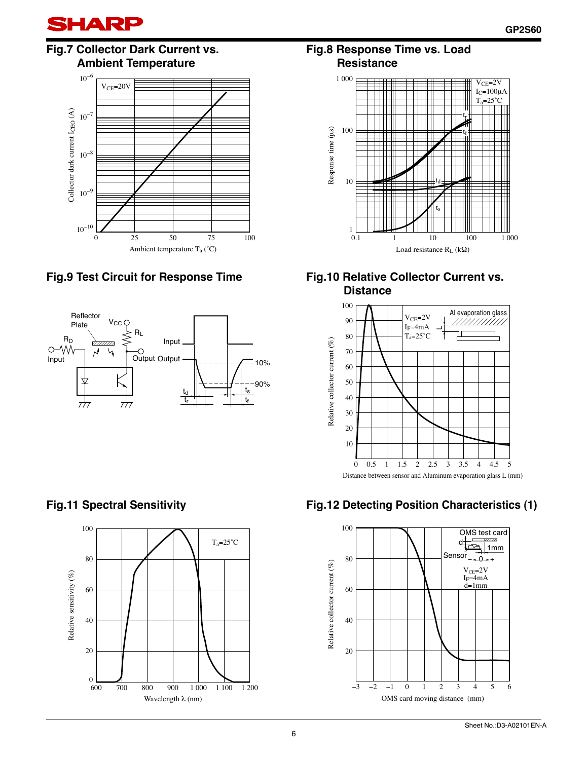

# **Fig.7 Collector Dark Current vs. Ambient Temperature**



# **Fig.9 Test Circuit for Response Time Fig.10 Relative Collector Current vs.**



### **Fig.8 Response Time vs. Load Resistance**



# **Distance**



Distance between sensor and Aluminum evaporation glass L (mm)



# **Fig.12 Detecting Position Characteristics (1)**

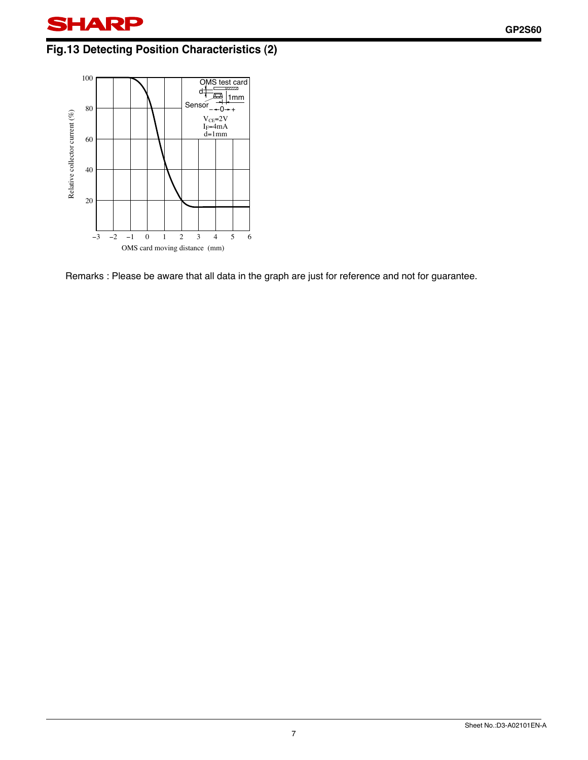# **Fig.13 Detecting Position Characteristics (2)**



Remarks : Please be aware that all data in the graph are just for reference and not for guarantee.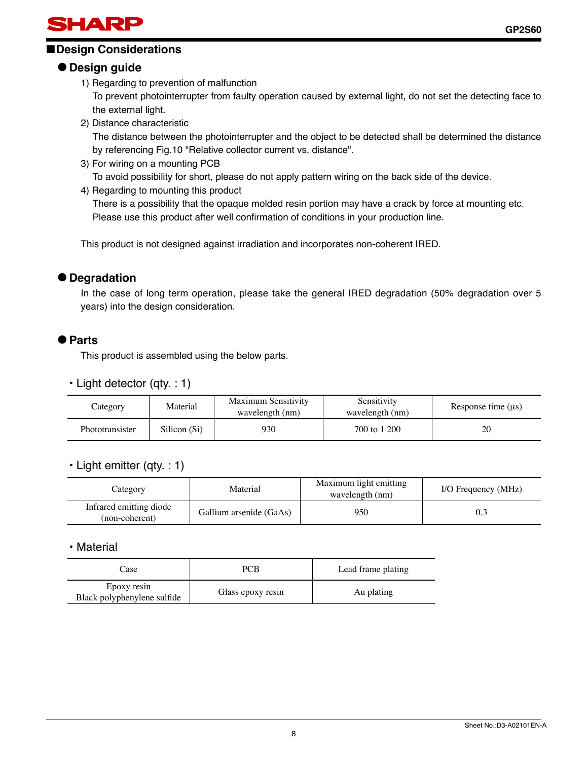

# ■**Design Considerations**

# ● **Design guide**

1) Regarding to prevention of malfunction

To prevent photointerrupter from faulty operation caused by external light, do not set the detecting face to the external light.

2) Distance characteristic

The distance between the photointerrupter and the object to be detected shall be determined the distance by referencing Fig.10 "Relative collector current vs. distance".

- 3) For wiring on a mounting PCB To avoid possibility for short, please do not apply pattern wiring on the back side of the device.
- 4) Regarding to mounting this product

There is a possibility that the opaque molded resin portion may have a crack by force at mounting etc. Please use this product after well confirmation of conditions in your production line.

This product is not designed against irradiation and incorporates non-coherent IRED.

#### ● **Degradation**

In the case of long term operation, please take the general IRED degradation (50% degradation over 5 years) into the design consideration.

#### ● **Parts**

This product is assembled using the below parts.

#### • Light detector (qty. : 1)

| Category               | Material     | <b>Maximum Sensitivity</b><br>wavelength (nm) | Sensitivity<br>wavelength (nm) | Response time $(\mu s)$ |
|------------------------|--------------|-----------------------------------------------|--------------------------------|-------------------------|
| <b>Phototransister</b> | Silicon (Si) | 930                                           | 700 to 1 200                   | 20                      |

#### • Light emitter (qty. : 1)

| Category                                  | Material                | Maximum light emitting<br>wavelength (nm) | I/O Frequency (MHz) |  |
|-------------------------------------------|-------------------------|-------------------------------------------|---------------------|--|
| Infrared emitting diode<br>(non-coherent) | Gallium arsenide (GaAs) | 950                                       |                     |  |

• Material

| Case                                       | PCB.              | Lead frame plating |  |
|--------------------------------------------|-------------------|--------------------|--|
| Epoxy resin<br>Black polyphenylene sulfide | Glass epoxy resin | Au plating         |  |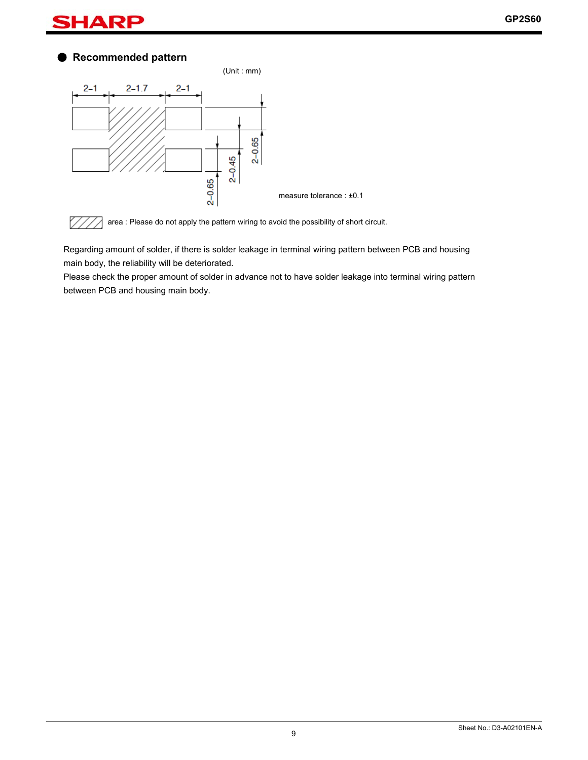#### HА R

# ● **Recommended pattern**





Regarding amount of solder, if there is solder leakage in terminal wiring pattern between PCB and housing main body, the reliability will be deteriorated.

Please check the proper amount of solder in advance not to have solder leakage into terminal wiring pattern between PCB and housing main body.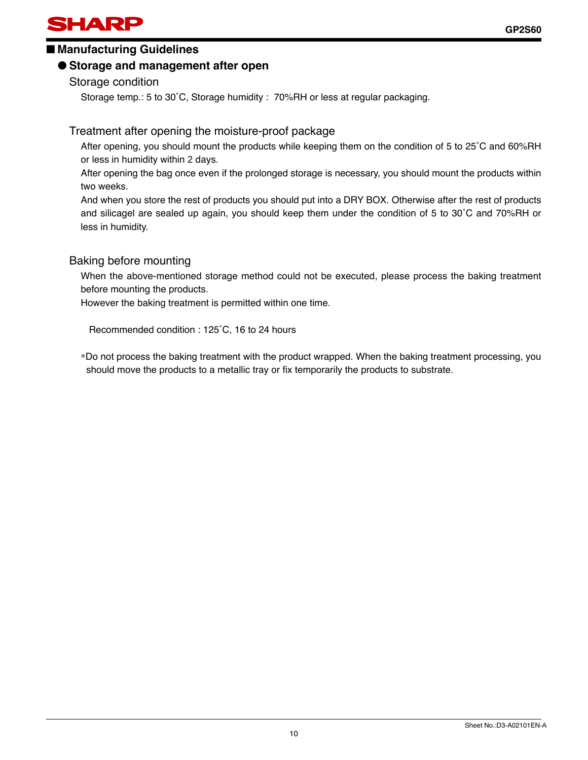# ■ Manufacturing Guidelines

# ● **Storage and management after open**

Storage condition

Storage temp.: 5 to 30˚C, Storage humidity : 70%RH or less at regular packaging.

# Treatment after opening the moisture-proof package

After opening, you should mount the products while keeping them on the condition of 5 to 25˚C and 60%RH or less in humidity within 2 days.

After opening the bag once even if the prolonged storage is necessary, you should mount the products within two weeks.

And when you store the rest of products you should put into a DRY BOX. Otherwise after the rest of products and silicagel are sealed up again, you should keep them under the condition of 5 to 30˚C and 70%RH or less in humidity.

# Baking before mounting

When the above-mentioned storage method could not be executed, please process the baking treatment before mounting the products.

However the baking treatment is permitted within one time.

Recommended condition : 125˚C, 16 to 24 hours

∗Do not process the baking treatment with the product wrapped. When the baking treatment processing, you should move the products to a metallic tray or fix temporarily the products to substrate.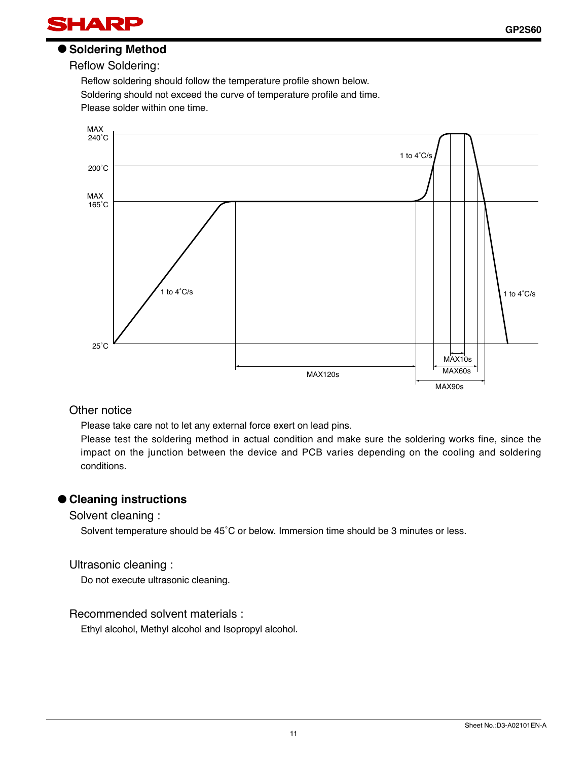

### ● **Soldering Method**

Reflow Soldering:

Reflow soldering should follow the temperature profile shown below. Soldering should not exceed the curve of temperature profile and time. Please solder within one time.



#### Other notice

Please take care not to let any external force exert on lead pins.

Please test the soldering method in actual condition and make sure the soldering works fine, since the impact on the junction between the device and PCB varies depending on the cooling and soldering conditions.

#### ● **Cleaning instructions**

Solvent cleaning :

Solvent temperature should be 45˚C or below. Immersion time should be 3 minutes or less.

#### Ultrasonic cleaning :

Do not execute ultrasonic cleaning.

#### Recommended solvent materials :

Ethyl alcohol, Methyl alcohol and Isopropyl alcohol.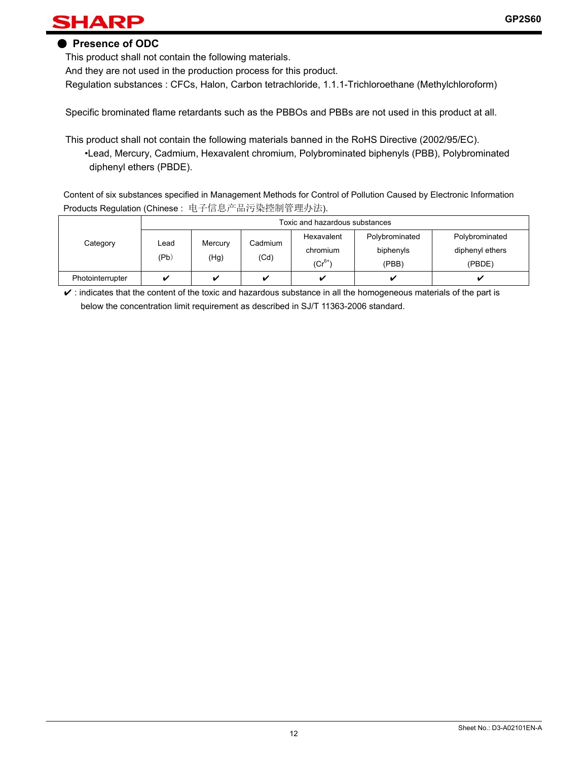# HARP

### ● **Presence of ODC**

This product shall not contain the following materials.

And they are not used in the production process for this product.

Regulation substances : CFCs, Halon, Carbon tetrachloride, 1.1.1-Trichloroethane (Methylchloroform)

Specific brominated flame retardants such as the PBBOs and PBBs are not used in this product at all.

This product shall not contain the following materials banned in the RoHS Directive (2002/95/EC). •Lead, Mercury, Cadmium, Hexavalent chromium, Polybrominated biphenyls (PBB), Polybrominated diphenyl ethers (PBDE).

 Content of six substances specified in Management Methods for Control of Pollution Caused by Electronic Information Products Regulation (Chinese : 电子信息产品污染控制管理办法).

|                  | Toxic and hazardous substances |                 |                         |                                       |                                      |                                             |
|------------------|--------------------------------|-----------------|-------------------------|---------------------------------------|--------------------------------------|---------------------------------------------|
| Category         | Lead<br>(Pb)                   | Mercury<br>(Hg) | Cadmium<br>(Cd)         | Hexavalent<br>chromium<br>$(Cr^{6+})$ | Polybrominated<br>biphenyls<br>(PBB) | Polybrominated<br>diphenyl ethers<br>(PBDE) |
| Photointerrupter |                                |                 | $\overline{\mathbf{v}}$ | ✓                                     |                                      |                                             |

 $\checkmark$  : indicates that the content of the toxic and hazardous substance in all the homogeneous materials of the part is below the concentration limit requirement as described in SJ/T 11363-2006 standard.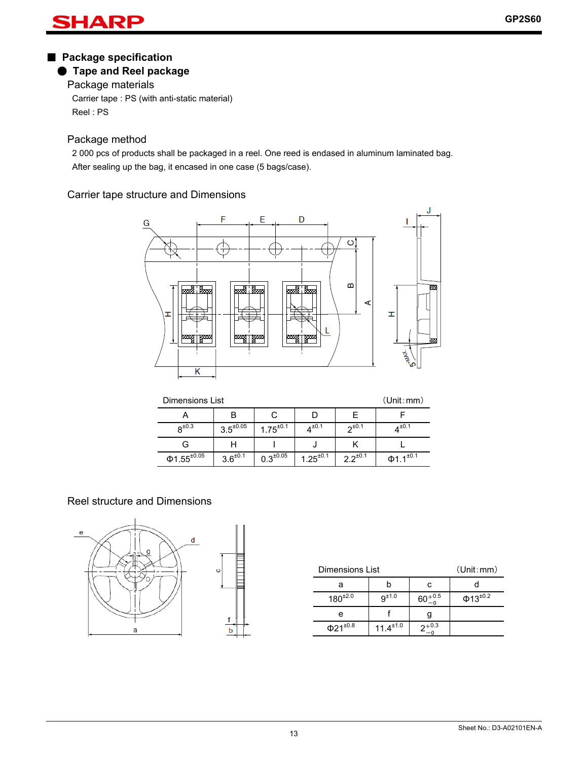#### AI R

# ■ **Package specification**

# ● **Tape and Reel package**

Package materials

Carrier tape : PS (with anti-static material) Reel : PS

# Package method

2 000 pcs of products shall be packaged in a reel. One reed is endased in aluminum laminated bag. After sealing up the bag, it encased in one case (5 bags/case).

# Carrier tape structure and Dimensions



| Dimensions List          | (Unit:mm)        |                  |                 |                 |                            |
|--------------------------|------------------|------------------|-----------------|-----------------|----------------------------|
|                          |                  |                  |                 |                 |                            |
| $R^{\pm 0.3}$            | $3.5^{\pm 0.05}$ | $1.75^{\pm0.1}$  | $4^{\pm 0.1}$   | $2^{\pm 0.1}$   | $4^{\pm 0.1}$              |
| G                        |                  |                  |                 |                 |                            |
| $\Phi$ 1.55 $^{\pm0.05}$ | $3.6^{\pm0.1}$   | $0.3^{\pm 0.05}$ | $1.25^{\pm0.1}$ | $2.2^{\pm 0.1}$ | $\Phi$ 1.1 <sup>±0.1</sup> |

# Reel structure and Dimensions



| <b>Dimensions List</b> | (Unit:mm)        |           |                           |
|------------------------|------------------|-----------|---------------------------|
|                        |                  |           |                           |
| $180^{\pm2.0}$         | $9^{\pm 1.0}$    | $+0.5$    | $\Phi$ 13 <sup>±0.2</sup> |
| е                      |                  |           |                           |
| $\Phi 21^{\pm 0.8}$    | $11.4^{\pm 1.0}$ | $7 + 0.3$ |                           |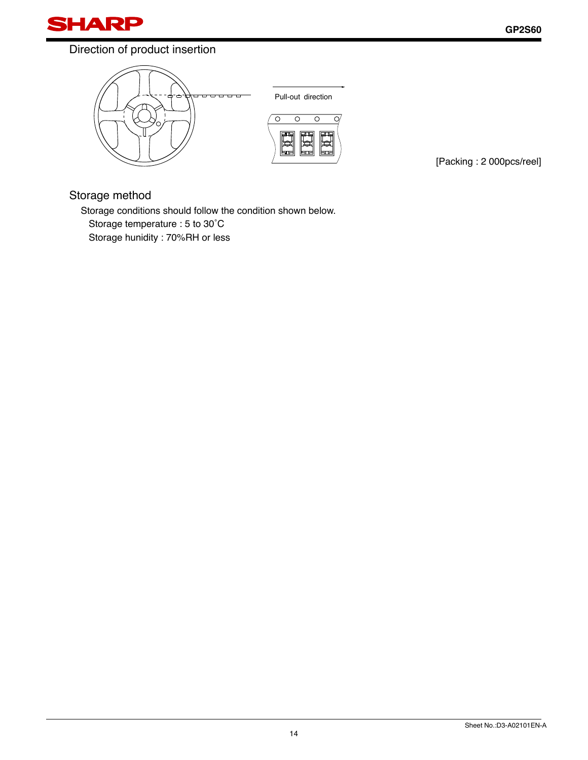

# Direction of product insertion



Pull-out direction



[Packing : 2 000pcs/reel]

### Storage method

Storage conditions should follow the condition shown below. Storage temperature : 5 to 30˚C Storage hunidity : 70%RH or less